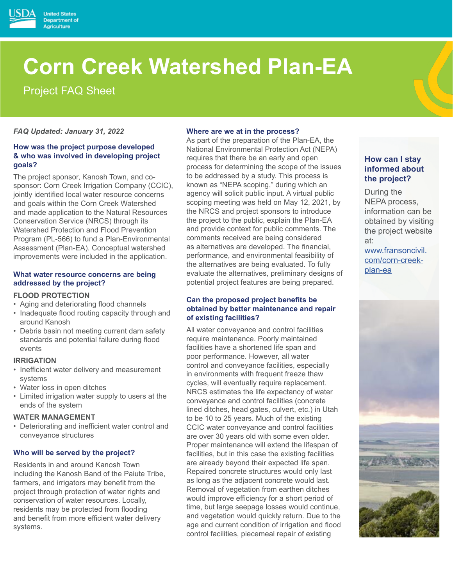

Project FAQ Sheet

**United States** Department of **Agriculture** 

*FAQ Updated: January 31, 2022* 

## **How was the project purpose developed & who was involved in developing project goals?**

The project sponsor, Kanosh Town, and cosponsor: Corn Creek Irrigation Company (CCIC), jointly identified local water resource concerns and goals within the Corn Creek Watershed and made application to the Natural Resources Conservation Service (NRCS) through its Watershed Protection and Flood Prevention Program (PL-566) to fund a Plan-Environmental Assessment (Plan-EA). Conceptual watershed improvements were included in the application.

#### **What water resource concerns are being addressed by the project?**

#### **FLOOD PROTECTION**

- Aging and deteriorating flood channels
- Inadequate flood routing capacity through and around Kanosh
- Debris basin not meeting current dam safety standards and potential failure during flood events

#### **IRRIGATION**

- Inefficient water delivery and measurement systems
- Water loss in open ditches
- Limited irrigation water supply to users at the ends of the system

#### **WATER MANAGEMENT**

• Deteriorating and inefficient water control and conveyance structures

## **Who will be served by the project?**

Residents in and around Kanosh Town including the Kanosh Band of the Paiute Tribe, farmers, and irrigators may benefit from the project through protection of water rights and conservation of water resources. Locally, residents may be protected from flooding and benefit from more efficient water delivery systems.

#### **Where are we at in the process?**

As part of the preparation of the Plan-EA, the National Environmental Protection Act (NEPA) requires that there be an early and open process for determining the scope of the issues to be addressed by a study. This process is known as "NEPA scoping," during which an agency will solicit public input. A virtual public scoping meeting was held on May 12, 2021, by the NRCS and project sponsors to introduce the project to the public, explain the Plan-EA and provide context for public comments. The comments received are being considered as alternatives are developed. The financial, performance, and environmental feasibility of the alternatives are being evaluated. To fully evaluate the alternatives, preliminary designs of potential project features are being prepared.

#### **Can the proposed project benefits be obtained by better maintenance and repair of existing facilities?**

All water conveyance and control facilities require maintenance. Poorly maintained facilities have a shortened life span and poor performance. However, all water control and conveyance facilities, especially in environments with frequent freeze thaw cycles, will eventually require replacement. NRCS estimates the life expectancy of water conveyance and control facilities (concrete lined ditches, head gates, culvert, etc.) in Utah to be 10 to 25 years. Much of the existing CCIC water conveyance and control facilities are over 30 years old with some even older. Proper maintenance will extend the lifespan of facilities, but in this case the existing facilities are already beyond their expected life span. Repaired concrete structures would only last as long as the adjacent concrete would last. Removal of vegetation from earthen ditches would improve efficiency for a short period of time, but large seepage losses would continue, and vegetation would quickly return. Due to the age and current condition of irrigation and flood control facilities, piecemeal repair of existing

# **How can I stay informed about the project?**

During the NEPA process, information can be obtained by visiting the project website at:

www.fransoncivil. com/corn-creekplan-ea